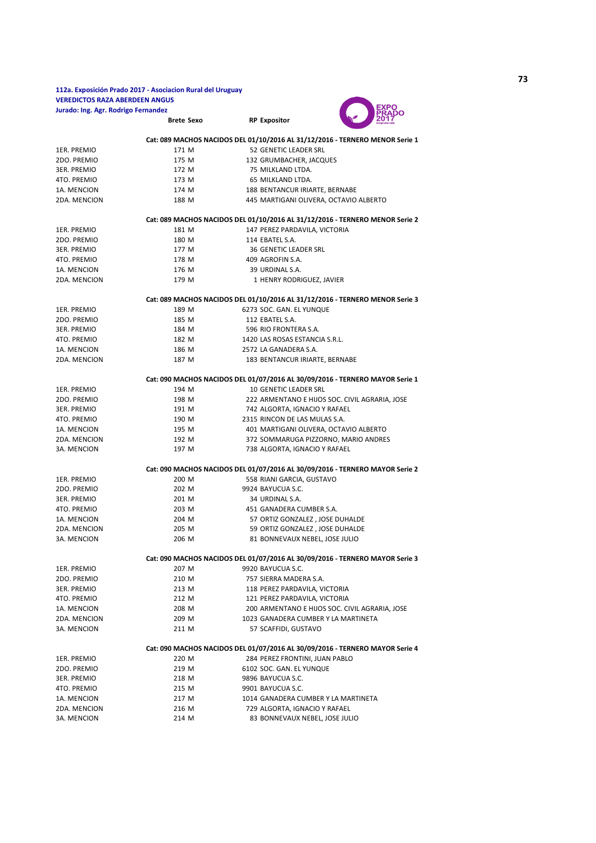## **Brete Sexo RP Expositor 112a. Exposición Prado 2017 - Asociacion Rural del Uruguay VEREDICTOS RAZA ABERDEEN ANGUS Jurado: Ing. Agr. Rodrigo Fernandez**



|              |       | Cat: 089 MACHOS NACIDOS DEL 01/10/2016 AL 31/12/2016 - TERNERO MENOR Serie 1                             |
|--------------|-------|----------------------------------------------------------------------------------------------------------|
| 1ER. PREMIO  | 171 M | 52 GENETIC LEADER SRL                                                                                    |
| 2DO. PREMIO  | 175 M | 132 GRUMBACHER, JACQUES                                                                                  |
| 3ER. PREMIO  | 172 M | 75 MILKLAND LTDA.                                                                                        |
| 4TO. PREMIO  | 173 M | 65 MILKLAND LTDA.                                                                                        |
| 1A. MENCION  | 174 M | 188 BENTANCUR IRIARTE, BERNABE                                                                           |
| 2DA. MENCION | 188 M | 445 MARTIGANI OLIVERA, OCTAVIO ALBERTO                                                                   |
|              |       |                                                                                                          |
|              |       | Cat: 089 MACHOS NACIDOS DEL 01/10/2016 AL 31/12/2016 - TERNERO MENOR Serie 2                             |
| 1ER. PREMIO  | 181 M | 147 PEREZ PARDAVILA, VICTORIA                                                                            |
| 2DO. PREMIO  | 180 M | 114 EBATEL S.A.                                                                                          |
| 3ER. PREMIO  | 177 M | <b>36 GENETIC LEADER SRL</b>                                                                             |
| 4TO. PREMIO  | 178 M | 409 AGROFIN S.A.                                                                                         |
| 1A. MENCION  | 176 M | 39 URDINAL S.A.                                                                                          |
| 2DA. MENCION | 179 M | 1 HENRY RODRIGUEZ, JAVIER                                                                                |
|              |       |                                                                                                          |
| 1ER. PREMIO  | 189 M | Cat: 089 MACHOS NACIDOS DEL 01/10/2016 AL 31/12/2016 - TERNERO MENOR Serie 3<br>6273 SOC. GAN. EL YUNQUE |
| 2DO. PREMIO  | 185 M | 112 EBATEL S.A.                                                                                          |
| 3ER. PREMIO  | 184 M | 596 RIO FRONTERA S.A.                                                                                    |
|              |       |                                                                                                          |
| 4TO. PREMIO  | 182 M | 1420 LAS ROSAS ESTANCIA S.R.L.                                                                           |
| 1A. MENCION  | 186 M | 2572 LA GANADERA S.A.                                                                                    |
| 2DA. MENCION | 187 M | 183 BENTANCUR IRIARTE, BERNABE                                                                           |
|              |       | Cat: 090 MACHOS NACIDOS DEL 01/07/2016 AL 30/09/2016 - TERNERO MAYOR Serie 1                             |
| 1ER. PREMIO  | 194 M | 10 GENETIC LEADER SRL                                                                                    |
| 2DO. PREMIO  | 198 M | 222 ARMENTANO E HIJOS SOC. CIVIL AGRARIA, JOSE                                                           |
| 3ER. PREMIO  | 191 M | 742 ALGORTA, IGNACIO Y RAFAEL                                                                            |
| 4TO. PREMIO  | 190 M | 2315 RINCON DE LAS MULAS S.A.                                                                            |
| 1A. MENCION  | 195 M | 401 MARTIGANI OLIVERA, OCTAVIO ALBERTO                                                                   |
| 2DA. MENCION | 192 M | 372 SOMMARUGA PIZZORNO, MARIO ANDRES                                                                     |
| 3A. MENCION  | 197 M | 738 ALGORTA, IGNACIO Y RAFAEL                                                                            |
|              |       |                                                                                                          |
|              |       | Cat: 090 MACHOS NACIDOS DEL 01/07/2016 AL 30/09/2016 - TERNERO MAYOR Serie 2                             |
| 1ER. PREMIO  | 200 M | 558 RIANI GARCIA, GUSTAVO                                                                                |
| 2DO. PREMIO  | 202 M | 9924 BAYUCUA S.C.                                                                                        |
| 3ER. PREMIO  | 201 M | 34 URDINAL S.A.                                                                                          |
| 4TO. PREMIO  | 203 M | 451 GANADERA CUMBER S.A.                                                                                 |
| 1A. MENCION  | 204 M | 57 ORTIZ GONZALEZ, JOSE DUHALDE                                                                          |
| 2DA. MENCION | 205 M | 59 ORTIZ GONZALEZ, JOSE DUHALDE                                                                          |
| 3A. MENCION  | 206 M | 81 BONNEVAUX NEBEL, JOSE JULIO                                                                           |
|              |       | Cat: 090 MACHOS NACIDOS DEL 01/07/2016 AL 30/09/2016 - TERNERO MAYOR Serie 3                             |
| 1ER. PREMIO  | 207 M | 9920 BAYUCUA S.C.                                                                                        |
| 2DO. PREMIO  | 210 M | 757 SIERRA MADERA S.A.                                                                                   |
| 3ER. PREMIO  | 213 M | 118 PEREZ PARDAVILA, VICTORIA                                                                            |
| 4TO. PREMIO  | 212 M | 121 PEREZ PARDAVILA, VICTORIA                                                                            |
| 1A. MENCION  | 208 M | 200 ARMENTANO E HIJOS SOC. CIVIL AGRARIA, JOSE                                                           |
| 2DA. MENCION | 209 M | 1023 GANADERA CUMBER Y LA MARTINETA                                                                      |
| 3A. MENCION  | 211 M | 57 SCAFFIDI, GUSTAVO                                                                                     |
|              |       |                                                                                                          |
|              |       | Cat: 090 MACHOS NACIDOS DEL 01/07/2016 AL 30/09/2016 - TERNERO MAYOR Serie 4                             |
| 1ER. PREMIO  | 220 M | 284 PEREZ FRONTINI, JUAN PABLO                                                                           |
| 2DO. PREMIO  | 219 M | 6102 SOC. GAN. EL YUNQUE                                                                                 |
| 3ER. PREMIO  | 218 M | 9896 BAYUCUA S.C.                                                                                        |
| 4TO. PREMIO  | 215 M | 9901 BAYUCUA S.C.                                                                                        |
| 1A. MENCION  | 217 M | 1014 GANADERA CUMBER Y LA MARTINETA                                                                      |
| 2DA. MENCION | 216 M | 729 ALGORTA, IGNACIO Y RAFAEL                                                                            |

3A. MENCION 214 M 83 BONNEVAUX NEBEL, JOSE JULIO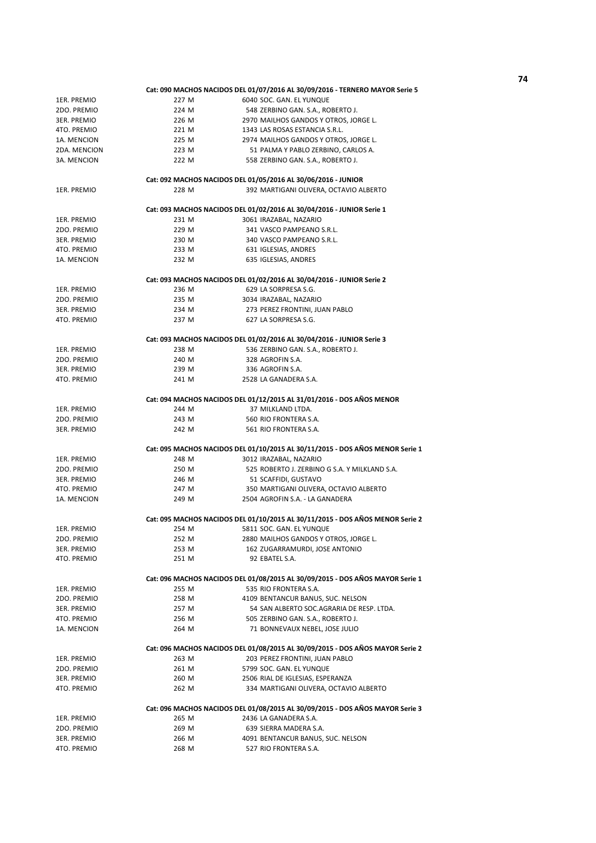|              |       | Cat: 090 MACHOS NACIDOS DEL 01/07/2016 AL 30/09/2016 - TERNERO MAYOR Serie 5  |
|--------------|-------|-------------------------------------------------------------------------------|
| 1ER. PREMIO  | 227 M | 6040 SOC. GAN. EL YUNQUE                                                      |
| 2DO. PREMIO  | 224 M | 548 ZERBINO GAN. S.A., ROBERTO J.                                             |
| 3ER. PREMIO  | 226 M | 2970 MAILHOS GANDOS Y OTROS, JORGE L.                                         |
| 4TO. PREMIO  | 221 M | 1343 LAS ROSAS ESTANCIA S.R.L.                                                |
| 1A. MENCION  | 225 M | 2974 MAILHOS GANDOS Y OTROS, JORGE L.                                         |
| 2DA. MENCION | 223 M | 51 PALMA Y PABLO ZERBINO, CARLOS A.                                           |
| 3A. MENCION  | 222 M | 558 ZERBINO GAN. S.A., ROBERTO J.                                             |
|              |       |                                                                               |
|              |       | Cat: 092 MACHOS NACIDOS DEL 01/05/2016 AL 30/06/2016 - JUNIOR                 |
| 1ER. PREMIO  | 228 M | 392 MARTIGANI OLIVERA, OCTAVIO ALBERTO                                        |
|              |       |                                                                               |
|              |       | Cat: 093 MACHOS NACIDOS DEL 01/02/2016 AL 30/04/2016 - JUNIOR Serie 1         |
| 1ER. PREMIO  | 231 M | 3061 IRAZABAL, NAZARIO                                                        |
| 2DO. PREMIO  | 229 M | 341 VASCO PAMPEANO S.R.L.                                                     |
| 3ER. PREMIO  | 230 M | 340 VASCO PAMPEANO S.R.L.                                                     |
| 4TO. PREMIO  | 233 M | 631 IGLESIAS, ANDRES                                                          |
| 1A. MENCION  | 232 M | 635 IGLESIAS, ANDRES                                                          |
|              |       |                                                                               |
|              |       | Cat: 093 MACHOS NACIDOS DEL 01/02/2016 AL 30/04/2016 - JUNIOR Serie 2         |
| 1ER. PREMIO  | 236 M | 629 LA SORPRESA S.G.                                                          |
| 2DO. PREMIO  | 235 M | 3034 IRAZABAL, NAZARIO                                                        |
| 3ER. PREMIO  | 234 M | 273 PEREZ FRONTINI, JUAN PABLO                                                |
| 4TO. PREMIO  | 237 M | 627 LA SORPRESA S.G.                                                          |
|              |       |                                                                               |
|              |       | Cat: 093 MACHOS NACIDOS DEL 01/02/2016 AL 30/04/2016 - JUNIOR Serie 3         |
| 1ER. PREMIO  | 238 M | 536 ZERBINO GAN. S.A., ROBERTO J.                                             |
| 2DO. PREMIO  | 240 M | 328 AGROFIN S.A.                                                              |
| 3ER. PREMIO  | 239 M | 336 AGROFIN S.A.                                                              |
| 4TO. PREMIO  | 241 M | 2528 LA GANADERA S.A.                                                         |
|              |       |                                                                               |
|              |       | Cat: 094 MACHOS NACIDOS DEL 01/12/2015 AL 31/01/2016 - DOS AÑOS MENOR         |
| 1ER. PREMIO  | 244 M | 37 MILKLAND LTDA.                                                             |
| 2DO. PREMIO  | 243 M | 560 RIO FRONTERA S.A.                                                         |
| 3ER. PREMIO  | 242 M | 561 RIO FRONTERA S.A.                                                         |
|              |       |                                                                               |
|              |       | Cat: 095 MACHOS NACIDOS DEL 01/10/2015 AL 30/11/2015 - DOS AÑOS MENOR Serie 1 |
| 1ER. PREMIO  | 248 M | 3012 IRAZABAL, NAZARIO                                                        |
| 2DO. PREMIO  | 250 M | 525 ROBERTO J. ZERBINO G S.A. Y MILKLAND S.A.                                 |
| 3ER. PREMIO  | 246 M | 51 SCAFFIDI, GUSTAVO                                                          |
| 4TO. PREMIO  | 247 M | 350 MARTIGANI OLIVERA, OCTAVIO ALBERTO                                        |
| 1A. MENCION  | 249 M | 2504 AGROFIN S.A. - LA GANADERA                                               |
|              |       |                                                                               |
|              |       | Cat: 095 MACHOS NACIDOS DEL 01/10/2015 AL 30/11/2015 - DOS AÑOS MENOR Serie 2 |
| 1ER. PREMIO  | 254 M | 5811 SOC. GAN. EL YUNQUE                                                      |
| 2DO. PREMIO  | 252 M | 2880 MAILHOS GANDOS Y OTROS, JORGE L.                                         |
| 3ER. PREMIO  | 253 M | 162 ZUGARRAMURDI, JOSE ANTONIO                                                |
| 4TO. PREMIO  | 251 M | 92 EBATEL S.A.                                                                |
|              |       |                                                                               |
|              |       | Cat: 096 MACHOS NACIDOS DEL 01/08/2015 AL 30/09/2015 - DOS AÑOS MAYOR Serie 1 |
| 1ER. PREMIO  | 255 M | 535 RIO FRONTERA S.A.                                                         |
| 2DO. PREMIO  | 258 M | 4109 BENTANCUR BANUS, SUC. NELSON                                             |
| 3ER. PREMIO  | 257 M | 54 SAN ALBERTO SOC.AGRARIA DE RESP. LTDA.                                     |
| 4TO. PREMIO  | 256 M | 505 ZERBINO GAN. S.A., ROBERTO J.                                             |
| 1A. MENCION  | 264 M | 71 BONNEVAUX NEBEL, JOSE JULIO                                                |
|              |       |                                                                               |
|              |       | Cat: 096 MACHOS NACIDOS DEL 01/08/2015 AL 30/09/2015 - DOS AÑOS MAYOR Serie 2 |
| 1ER. PREMIO  | 263 M | 203 PEREZ FRONTINI, JUAN PABLO                                                |
| 2DO. PREMIO  | 261 M | 5799 SOC. GAN. EL YUNQUE                                                      |
| 3ER. PREMIO  | 260 M | 2506 RIAL DE IGLESIAS, ESPERANZA                                              |
| 4TO. PREMIO  | 262 M | 334 MARTIGANI OLIVERA, OCTAVIO ALBERTO                                        |
|              |       |                                                                               |
|              |       | Cat: 096 MACHOS NACIDOS DEL 01/08/2015 AL 30/09/2015 - DOS AÑOS MAYOR Serie 3 |
| 1ER. PREMIO  | 265 M | 2436 LA GANADERA S.A.                                                         |
| 2DO. PREMIO  | 269 M | 639 SIERRA MADERA S.A.                                                        |
| 3ER. PREMIO  | 266 M | 4091 BENTANCUR BANUS, SUC. NELSON                                             |

4TO. PREMIO 268 M 327 RIO FRONTERA S.A.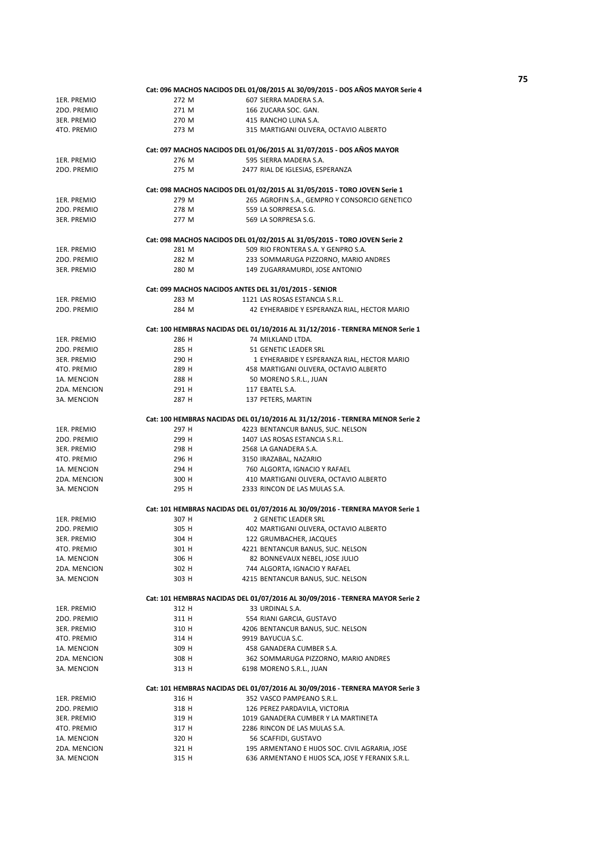|              |       | Cat: 096 MACHOS NACIDOS DEL 01/08/2015 AL 30/09/2015 - DOS AÑOS MAYOR Serie 4                                      |
|--------------|-------|--------------------------------------------------------------------------------------------------------------------|
| 1ER. PREMIO  | 272 M | 607 SIERRA MADERA S.A.                                                                                             |
| 2DO. PREMIO  | 271 M | 166 ZUCARA SOC. GAN.                                                                                               |
| 3ER. PREMIO  | 270 M | 415 RANCHO LUNA S.A.                                                                                               |
| 4TO. PREMIO  | 273 M | 315 MARTIGANI OLIVERA, OCTAVIO ALBERTO                                                                             |
|              |       |                                                                                                                    |
|              |       | Cat: 097 MACHOS NACIDOS DEL 01/06/2015 AL 31/07/2015 - DOS AÑOS MAYOR                                              |
| 1ER. PREMIO  | 276 M | 595 SIERRA MADERA S.A.                                                                                             |
| 2DO. PREMIO  | 275 M | 2477 RIAL DE IGLESIAS, ESPERANZA                                                                                   |
|              |       |                                                                                                                    |
|              |       | Cat: 098 MACHOS NACIDOS DEL 01/02/2015 AL 31/05/2015 - TORO JOVEN Serie 1                                          |
| 1ER. PREMIO  | 279 M | 265 AGROFIN S.A., GEMPRO Y CONSORCIO GENETICO                                                                      |
| 2DO. PREMIO  | 278 M | 559 LA SORPRESA S.G.                                                                                               |
| 3ER. PREMIO  | 277 M | 569 LA SORPRESA S.G.                                                                                               |
|              |       |                                                                                                                    |
|              |       | Cat: 098 MACHOS NACIDOS DEL 01/02/2015 AL 31/05/2015 - TORO JOVEN Serie 2                                          |
| 1ER. PREMIO  | 281 M | 509 RIO FRONTERA S.A. Y GENPRO S.A.                                                                                |
| 2DO. PREMIO  | 282 M | 233 SOMMARUGA PIZZORNO, MARIO ANDRES                                                                               |
| 3ER. PREMIO  | 280 M | 149 ZUGARRAMURDI, JOSE ANTONIO                                                                                     |
|              |       |                                                                                                                    |
|              |       | Cat: 099 MACHOS NACIDOS ANTES DEL 31/01/2015 - SENIOR                                                              |
| 1ER. PREMIO  | 283 M | 1121 LAS ROSAS ESTANCIA S.R.L.                                                                                     |
| 2DO. PREMIO  | 284 M | 42 EYHERABIDE Y ESPERANZA RIAL, HECTOR MARIO                                                                       |
|              |       |                                                                                                                    |
| 1ER. PREMIO  | 286 H | Cat: 100 HEMBRAS NACIDAS DEL 01/10/2016 AL 31/12/2016 - TERNERA MENOR Serie 1<br>74 MILKLAND LTDA.                 |
|              | 285 H |                                                                                                                    |
| 2DO. PREMIO  |       | 51 GENETIC LEADER SRL<br>1 EYHERABIDE Y ESPERANZA RIAL, HECTOR MARIO                                               |
| 3ER. PREMIO  | 290 H |                                                                                                                    |
| 4TO. PREMIO  | 289 H | 458 MARTIGANI OLIVERA, OCTAVIO ALBERTO                                                                             |
| 1A. MENCION  | 288 H | 50 MORENO S.R.L., JUAN                                                                                             |
| 2DA. MENCION | 291 H | 117 EBATEL S.A.                                                                                                    |
| 3A. MENCION  | 287 H | 137 PETERS, MARTIN                                                                                                 |
|              |       |                                                                                                                    |
| 1ER. PREMIO  | 297 H | Cat: 100 HEMBRAS NACIDAS DEL 01/10/2016 AL 31/12/2016 - TERNERA MENOR Serie 2<br>4223 BENTANCUR BANUS, SUC. NELSON |
| 2DO. PREMIO  | 299 H | 1407 LAS ROSAS ESTANCIA S.R.L.                                                                                     |
|              |       |                                                                                                                    |
| 3ER. PREMIO  | 298 H | 2568 LA GANADERA S.A.                                                                                              |
| 4TO. PREMIO  | 296 H | 3150 IRAZABAL, NAZARIO                                                                                             |
| 1A. MENCION  | 294 H | 760 ALGORTA, IGNACIO Y RAFAEL                                                                                      |
| 2DA. MENCION | 300 H | 410 MARTIGANI OLIVERA, OCTAVIO ALBERTO                                                                             |
| 3A. MENCION  | 295 H | 2333 RINCON DE LAS MULAS S.A.                                                                                      |
|              |       | Cat: 101 HEMBRAS NACIDAS DEL 01/07/2016 AL 30/09/2016 - TERNERA MAYOR Serie 1                                      |
| 1ER. PREMIO  | 307 H | 2 GENETIC LEADER SRL                                                                                               |
| 2DO. PREMIO  | 305 H | 402 MARTIGANI OLIVERA, OCTAVIO ALBERTO                                                                             |
| 3ER. PREMIO  | 304 H | 122 GRUMBACHER, JACQUES                                                                                            |
| 4TO. PREMIO  | 301 H | 4221 BENTANCUR BANUS, SUC. NELSON                                                                                  |
| 1A. MENCION  | 306 H | 82 BONNEVAUX NEBEL, JOSE JULIO                                                                                     |
| 2DA. MENCION | 302 H | 744 ALGORTA, IGNACIO Y RAFAEL                                                                                      |
| 3A. MENCION  | 303 H | 4215 BENTANCUR BANUS, SUC. NELSON                                                                                  |
|              |       |                                                                                                                    |
|              |       | Cat: 101 HEMBRAS NACIDAS DEL 01/07/2016 AL 30/09/2016 - TERNERA MAYOR Serie 2                                      |
| 1ER. PREMIO  | 312 H | 33 URDINAL S.A.                                                                                                    |
| 2DO. PREMIO  | 311 H | 554 RIANI GARCIA, GUSTAVO                                                                                          |
| 3ER. PREMIO  | 310 H | 4206 BENTANCUR BANUS, SUC. NELSON                                                                                  |
| 4TO. PREMIO  | 314 H | 9919 BAYUCUA S.C.                                                                                                  |
| 1A. MENCION  | 309 H | 458 GANADERA CUMBER S.A.                                                                                           |
| 2DA. MENCION | 308 H | 362 SOMMARUGA PIZZORNO, MARIO ANDRES                                                                               |
| 3A. MENCION  | 313 H | 6198 MORENO S.R.L., JUAN                                                                                           |
|              |       |                                                                                                                    |
|              |       | Cat: 101 HEMBRAS NACIDAS DEL 01/07/2016 AL 30/09/2016 - TERNERA MAYOR Serie 3                                      |
| 1ER. PREMIO  | 316 H | 352 VASCO PAMPEANO S.R.L.                                                                                          |
| 2DO. PREMIO  | 318 H | 126 PEREZ PARDAVILA, VICTORIA                                                                                      |
| 3ER. PREMIO  | 319 H | 1019 GANADERA CUMBER Y LA MARTINETA                                                                                |
| 4TO. PREMIO  | 317 H | 2286 RINCON DE LAS MULAS S.A.                                                                                      |
| 1A. MENCION  | 320 H | 56 SCAFFIDI, GUSTAVO                                                                                               |
| 2DA. MENCION | 321 H | 195 ARMENTANO E HIJOS SOC. CIVIL AGRARIA, JOSE                                                                     |
| 3A. MENCION  | 315 H | 636 ARMENTANO E HIJOS SCA, JOSE Y FERANIX S.R.L.                                                                   |
|              |       |                                                                                                                    |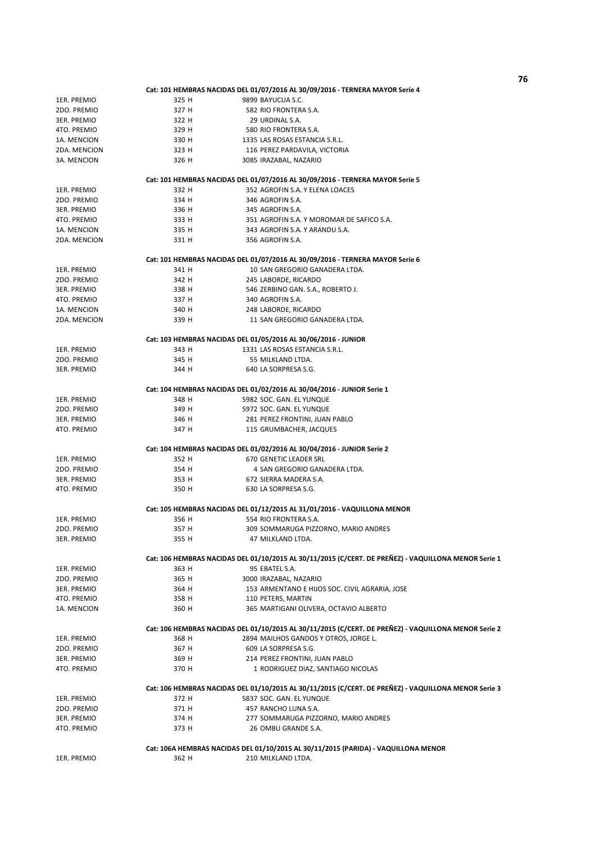1ER. PREMIO 325 H 9899 BAYUCUA S.C. 2DO. PREMIO 327 H 582 RIO FRONTERA S.A. 3ER. PREMIO 322 H 29 URDINAL S.A. 4TO. PREMIO 329 H 580 RIO FRONTERA S.A. 1A. MENCION 330 H 1335 LAS ROSAS ESTANCIA S.R.L.<br>2DA. MENCION 323 H 116 PEREZ PARDAVILA, VICTORI 323 H 116 PEREZ PARDAVILA, VICTORIA 3A. MENCION 326 H 3085 IRAZABAL, NAZARIO 1ER. PREMIO 332 H 352 AGROFIN S.A. Y ELENA LOACES 2DO. PREMIO 334 H 346 AGROFIN S.A. 3ER. PREMIO 336 H 345 AGROFIN S.A. 4TO. PREMIO 333 H 351 AGROFIN S.A. Y MOROMAR DE SAFICO S.A. 1A. MENCION 335 H 343 AGROFIN S.A. Y ARANDU S.A. 2DA. MENCION 331 H 356 AGROFIN S.A. 1ER. PREMIO 341 H 341 H 10 SAN GREGORIO GANADERA LTDA. 2DO. PREMIO 342 H 245 LABORDE, RICARDO 546 ZERBINO GAN. S.A., ROBERTO J. 4TO. PREMIO 337 H 340 AGROFIN S.A. 1A. MENCION 340 H 248 LABORDE, RICARDO 2DA. MENCION 339 H 11 SAN GREGORIO GANADERA LTDA. 1ER. PREMIO 343 H 1331 LAS ROSAS ESTANCIA S.R.L. 2DO. PREMIO 345 H 55 MILKLAND LTDA.<br>35 MILKLAND 10 344 H 640 I A SORPRESA S C 640 LA SORPRESA S.G. 1ER. PREMIO 348 H 5982 SOC. GAN. EL YUNQUE 2DO. PREMIO 349 H 5972 SOC. GAN. EL YUNQUE 3ER. PREMIO 346 H 281 PEREZ FRONTINI, JUAN PABLO 4TO. PREMIO 347 H 115 GRUMBACHER, JACQUES 1ER. PREMIO 352 H 670 GENETIC LEADER SRL 2DO. PREMIO 354 H 4 SAN GREGORIO GANADERA LTDA. 3ER. PREMIO 353 H 672 SIERRA MADERA S.A. 350 H 630 LA SORPRESA S.G. 1ER. PREMIO 356 H 554 RIO FRONTERA S.A. 2DO. PREMIO 357 H 309 SOMMARUGA PIZZORNO, MARIO ANDRES 3ER. PREMIO 355 H 47 MILKLAND LTDA. 1ER. PREMIO 363 H 95 EBATEL S.A. 2DO. PREMIO 365 H 3000 IRAZABAL, NAZARIO 3ER. PREMIO 364 H 153 ARMENTANO E HIJOS SOC. CIVIL AGRARIA, JOSE 4TO. PREMIO 358 H 110 PETERS, MARTIN 1A. MENCION 360 H 365 MARTIGANI OLIVERA, OCTAVIO ALBERTO 1ER. PREMIO 368 H 2894 MAILHOS GANDOS Y OTROS, JORGE L. 2DO. PREMIO 367 H 609 LA SORPRESA S.G. 3ER. PREMIO 369 H 214 PEREZ FRONTINI, ILIAN PABLO 4TO. PREMIO 370 H 1 RODRIGUEZ DIAZ, SANTIAGO NICOLAS 1ER. PREMIO 372 H 5837 SOC. GAN. EL YUNQUE 2DO. PREMIO 371 H 457 RANCHO LUNA S.A. 3ER. PREMIO 374 H 277 SOMMARUGA PIZZORNO, MARIO ANDRES 26 OMBU GRANDE S.A. 1ER. PREMIO 362 H 210 MILKLAND LTDA. **Cat: 104 HEMBRAS NACIDAS DEL 01/02/2016 AL 30/04/2016 - JUNIOR Serie 2 Cat: 105 HEMBRAS NACIDAS DEL 01/12/2015 AL 31/01/2016 - VAQUILLONA MENOR Cat: 106 HEMBRAS NACIDAS DEL 01/10/2015 AL 30/11/2015 (C/CERT. DE PREÑEZ) - VAQUILLONA MENOR Serie 1 Cat: 106 HEMBRAS NACIDAS DEL 01/10/2015 AL 30/11/2015 (C/CERT. DE PREÑEZ) - VAQUILLONA MENOR Serie 2 Cat: 106 HEMBRAS NACIDAS DEL 01/10/2015 AL 30/11/2015 (C/CERT. DE PREÑEZ) - VAQUILLONA MENOR Serie 3 Cat: 106A HEMBRAS NACIDAS DEL 01/10/2015 AL 30/11/2015 (PARIDA) - VAQUILLONA MENOR Cat: 101 HEMBRAS NACIDAS DEL 01/07/2016 AL 30/09/2016 - TERNERA MAYOR Serie 4 Cat: 101 HEMBRAS NACIDAS DEL 01/07/2016 AL 30/09/2016 - TERNERA MAYOR Serie 5 Cat: 101 HEMBRAS NACIDAS DEL 01/07/2016 AL 30/09/2016 - TERNERA MAYOR Serie 6 Cat: 103 HEMBRAS NACIDAS DEL 01/05/2016 AL 30/06/2016 - JUNIOR Cat: 104 HEMBRAS NACIDAS DEL 01/02/2016 AL 30/04/2016 - JUNIOR Serie 1**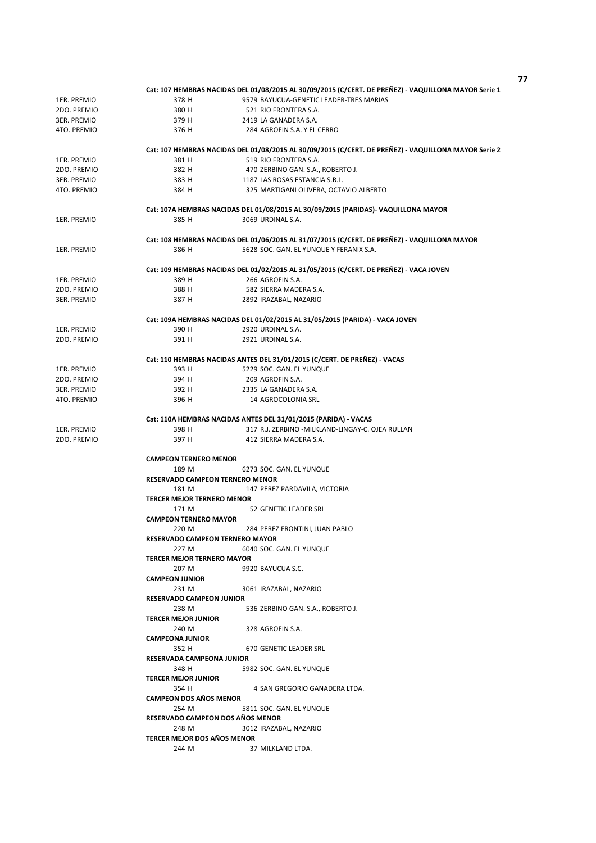|                             | Cat: 107 HEMBRAS NACIDAS DEL 01/08/2015 AL 30/09/2015 (C/CERT. DE PREÑEZ) - VAQUILLONA MAYOR Serie 1 |  |  |
|-----------------------------|------------------------------------------------------------------------------------------------------|--|--|
| 1ER. PREMIO                 | 378 H<br>9579 BAYUCUA-GENETIC LEADER-TRES MARIAS                                                     |  |  |
| 2DO. PREMIO                 | 380 H<br>521 RIO FRONTERA S.A.                                                                       |  |  |
| 3ER. PREMIO                 | 379 H<br>2419 LA GANADERA S.A.                                                                       |  |  |
| 4TO. PREMIO                 | 376 H<br>284 AGROFIN S.A. Y EL CERRO                                                                 |  |  |
|                             |                                                                                                      |  |  |
|                             | Cat: 107 HEMBRAS NACIDAS DEL 01/08/2015 AL 30/09/2015 (C/CERT. DE PREÑEZ) - VAQUILLONA MAYOR Serie 2 |  |  |
| 1ER. PREMIO                 | 381 H<br>519 RIO FRONTERA S.A.                                                                       |  |  |
| 2DO. PREMIO                 | 382 H<br>470 ZERBINO GAN. S.A., ROBERTO J.                                                           |  |  |
| 3ER. PREMIO                 | 383 H<br>1187 LAS ROSAS ESTANCIA S.R.L.                                                              |  |  |
| 4TO. PREMIO                 | 384 H<br>325 MARTIGANI OLIVERA, OCTAVIO ALBERTO                                                      |  |  |
|                             |                                                                                                      |  |  |
|                             | Cat: 107A HEMBRAS NACIDAS DEL 01/08/2015 AL 30/09/2015 (PARIDAS)- VAQUILLONA MAYOR                   |  |  |
| 1ER. PREMIO                 | 3069 URDINAL S.A.<br>385 H                                                                           |  |  |
|                             |                                                                                                      |  |  |
|                             | Cat: 108 HEMBRAS NACIDAS DEL 01/06/2015 AL 31/07/2015 (C/CERT. DE PREÑEZ) - VAQUILLONA MAYOR         |  |  |
| 1ER. PREMIO                 | 386 H<br>5628 SOC. GAN. EL YUNQUE Y FERANIX S.A.                                                     |  |  |
|                             | Cat: 109 HEMBRAS NACIDAS DEL 01/02/2015 AL 31/05/2015 (C/CERT. DE PREÑEZ) - VACA JOVEN               |  |  |
| 1ER. PREMIO                 | 266 AGROFIN S.A.<br>389 H                                                                            |  |  |
| 2DO. PREMIO                 | 388 H<br>582 SIERRA MADERA S.A.                                                                      |  |  |
|                             | 2892 IRAZABAL, NAZARIO                                                                               |  |  |
| 3ER. PREMIO                 | 387 H                                                                                                |  |  |
|                             | Cat: 109A HEMBRAS NACIDAS DEL 01/02/2015 AL 31/05/2015 (PARIDA) - VACA JOVEN                         |  |  |
| 1ER. PREMIO                 | 390 H<br>2920 URDINAL S.A.                                                                           |  |  |
| 2DO. PREMIO                 | 391 H<br>2921 URDINAL S.A.                                                                           |  |  |
|                             |                                                                                                      |  |  |
|                             | Cat: 110 HEMBRAS NACIDAS ANTES DEL 31/01/2015 (C/CERT. DE PREÑEZ) - VACAS                            |  |  |
| 1ER. PREMIO                 | 393 H<br>5229 SOC. GAN. EL YUNQUE                                                                    |  |  |
| 2DO. PREMIO                 | 394 H<br>209 AGROFIN S.A.                                                                            |  |  |
| <b>3ER. PREMIO</b>          | 392 H<br>2335 LA GANADERA S.A.                                                                       |  |  |
| 4TO. PREMIO                 | 396 H<br>14 AGROCOLONIA SRL                                                                          |  |  |
|                             |                                                                                                      |  |  |
|                             | Cat: 110A HEMBRAS NACIDAS ANTES DEL 31/01/2015 (PARIDA) - VACAS                                      |  |  |
| 1ER. PREMIO                 | 317 R.J. ZERBINO -MILKLAND-LINGAY-C. OJEA RULLAN<br>398 H                                            |  |  |
| 2DO. PREMIO                 | 397 H<br>412 SIERRA MADERA S.A.                                                                      |  |  |
|                             |                                                                                                      |  |  |
|                             | <b>CAMPEON TERNERO MENOR</b>                                                                         |  |  |
|                             | 189 M<br>6273 SOC. GAN. EL YUNQUE                                                                    |  |  |
|                             | <b>RESERVADO CAMPEON TERNERO MENOR</b>                                                               |  |  |
|                             | 181 M<br>147 PEREZ PARDAVILA, VICTORIA                                                               |  |  |
|                             | <b>TERCER MEJOR TERNERO MENOR</b>                                                                    |  |  |
|                             | 171 M<br>52 GENETIC LEADER SRL                                                                       |  |  |
|                             | <b>CAMPEON TERNERO MAYOR</b>                                                                         |  |  |
|                             | 220 M<br>284 PEREZ FRONTINI, JUAN PABLO                                                              |  |  |
|                             | RESERVADO CAMPEON TERNERO MAYOR                                                                      |  |  |
|                             | 227 M<br>6040 SOC. GAN. EL YUNQUE                                                                    |  |  |
|                             | <b>TERCER MEJOR TERNERO MAYOR</b>                                                                    |  |  |
|                             | 207 M<br>9920 BAYUCUA S.C.                                                                           |  |  |
|                             | <b>CAMPEON JUNIOR</b>                                                                                |  |  |
|                             | 231 M<br>3061 IRAZABAL, NAZARIO                                                                      |  |  |
|                             | <b>RESERVADO CAMPEON JUNIOR</b>                                                                      |  |  |
|                             | 238 M<br>536 ZERBINO GAN. S.A., ROBERTO J.                                                           |  |  |
|                             | <b>TERCER MEJOR JUNIOR</b>                                                                           |  |  |
|                             | 240 M<br>328 AGROFIN S.A.<br><b>CAMPEONA JUNIOR</b>                                                  |  |  |
|                             | 352 H<br>670 GENETIC LEADER SRL                                                                      |  |  |
|                             | RESERVADA CAMPEONA JUNIOR                                                                            |  |  |
|                             | 348 H<br>5982 SOC. GAN. EL YUNQUE                                                                    |  |  |
|                             | <b>TERCER MEJOR JUNIOR</b>                                                                           |  |  |
|                             | 354 H<br>4 SAN GREGORIO GANADERA LTDA.                                                               |  |  |
|                             | <b>CAMPEON DOS AÑOS MENOR</b>                                                                        |  |  |
|                             | 254 M<br>5811 SOC. GAN. EL YUNQUE                                                                    |  |  |
|                             | RESERVADO CAMPEON DOS AÑOS MENOR                                                                     |  |  |
|                             | 248 M<br>3012 IRAZABAL, NAZARIO                                                                      |  |  |
| TERCER MEJOR DOS AÑOS MENOR |                                                                                                      |  |  |
|                             | 244 M<br>37 MILKLAND LTDA.                                                                           |  |  |
|                             |                                                                                                      |  |  |